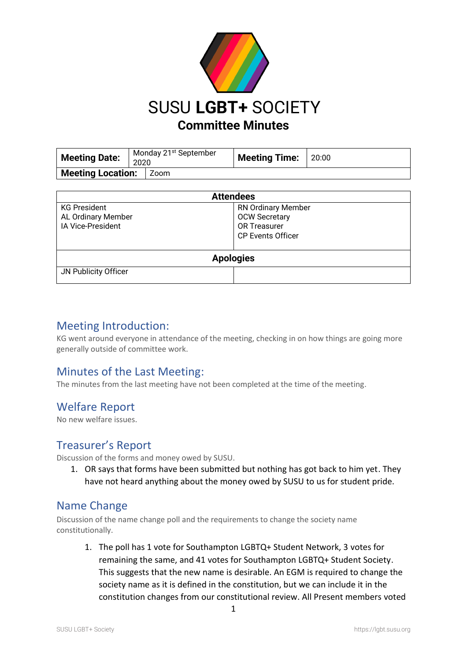

| <b>Meeting Date:</b>     | Monday 21 <sup>st</sup> September<br>2020 |      | Meeting Time: 20:00 |  |
|--------------------------|-------------------------------------------|------|---------------------|--|
| <b>Meeting Location:</b> |                                           | Zoom |                     |  |

| <b>Attendees</b>                                               |                                                                                                      |  |  |
|----------------------------------------------------------------|------------------------------------------------------------------------------------------------------|--|--|
| <b>KG President</b><br>AL Ordinary Member<br>IA Vice-President | <b>RN Ordinary Member</b><br><b>OCW Secretary</b><br><b>OR Treasurer</b><br><b>CP Events Officer</b> |  |  |
| <b>Apologies</b>                                               |                                                                                                      |  |  |
| JN Publicity Officer                                           |                                                                                                      |  |  |

#### Meeting Introduction:

KG went around everyone in attendance of the meeting, checking in on how things are going more generally outside of committee work.

## Minutes of the Last Meeting:

The minutes from the last meeting have not been completed at the time of the meeting.

## Welfare Report

No new welfare issues.

## Treasurer's Report

Discussion of the forms and money owed by SUSU.

1. OR says that forms have been submitted but nothing has got back to him yet. They have not heard anything about the money owed by SUSU to us for student pride.

## Name Change

Discussion of the name change poll and the requirements to change the society name constitutionally.

1. The poll has 1 vote for Southampton LGBTQ+ Student Network, 3 votes for remaining the same, and 41 votes for Southampton LGBTQ+ Student Society. This suggests that the new name is desirable. An EGM is required to change the society name as it is defined in the constitution, but we can include it in the constitution changes from our constitutional review. All Present members voted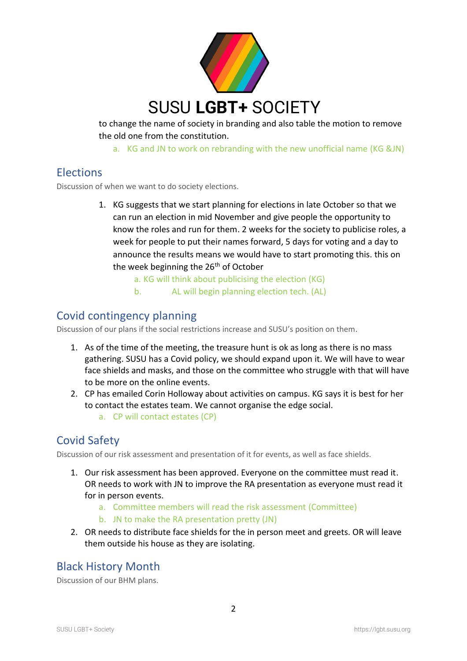

to change the name of society in branding and also table the motion to remove the old one from the constitution.

a. KG and JN to work on rebranding with the new unofficial name (KG &JN)

# **Elections**

Discussion of when we want to do society elections.

- 1. KG suggests that we start planning for elections in late October so that we can run an election in mid November and give people the opportunity to know the roles and run for them. 2 weeks for the society to publicise roles, a week for people to put their names forward, 5 days for voting and a day to announce the results means we would have to start promoting this. this on the week beginning the 26<sup>th</sup> of October
	- a. KG will think about publicising the election (KG)
	- b. AL will begin planning election tech. (AL)

#### Covid contingency planning

Discussion of our plans if the social restrictions increase and SUSU's position on them.

- 1. As of the time of the meeting, the treasure hunt is ok as long as there is no mass gathering. SUSU has a Covid policy, we should expand upon it. We will have to wear face shields and masks, and those on the committee who struggle with that will have to be more on the online events.
- 2. CP has emailed Corin Holloway about activities on campus. KG says it is best for her to contact the estates team. We cannot organise the edge social.
	- a. CP will contact estates (CP)

# Covid Safety

Discussion of our risk assessment and presentation of it for events, as well as face shields.

- 1. Our risk assessment has been approved. Everyone on the committee must read it. OR needs to work with JN to improve the RA presentation as everyone must read it for in person events.
	- a. Committee members will read the risk assessment (Committee)
	- b. JN to make the RA presentation pretty (JN)
- 2. OR needs to distribute face shields for the in person meet and greets. OR will leave them outside his house as they are isolating.

#### Black History Month

Discussion of our BHM plans.